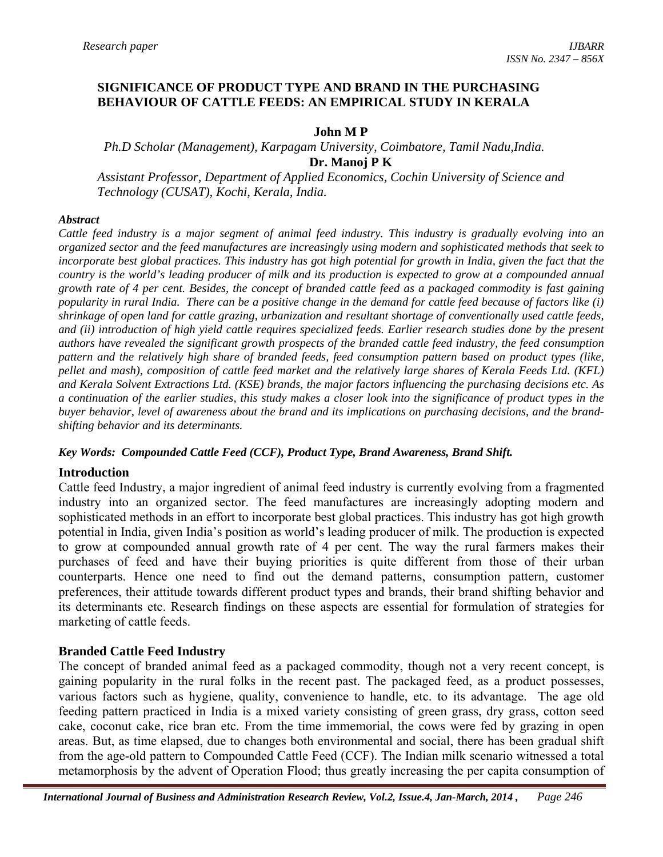### **SIGNIFICANCE OF PRODUCT TYPE AND BRAND IN THE PURCHASING BEHAVIOUR OF CATTLE FEEDS: AN EMPIRICAL STUDY IN KERALA**

#### **John M P**

 *Ph.D Scholar (Management), Karpagam University, Coimbatore, Tamil Nadu,India.*  **Dr. Manoj P K** 

*Assistant Professor, Department of Applied Economics, Cochin University of Science and Technology (CUSAT), Kochi, Kerala, India.* 

#### *Abstract*

*Cattle feed industry is a major segment of animal feed industry. This industry is gradually evolving into an organized sector and the feed manufactures are increasingly using modern and sophisticated methods that seek to incorporate best global practices. This industry has got high potential for growth in India, given the fact that the country is the world's leading producer of milk and its production is expected to grow at a compounded annual growth rate of 4 per cent. Besides, the concept of branded cattle feed as a packaged commodity is fast gaining popularity in rural India. There can be a positive change in the demand for cattle feed because of factors like (i) shrinkage of open land for cattle grazing, urbanization and resultant shortage of conventionally used cattle feeds, and (ii) introduction of high yield cattle requires specialized feeds. Earlier research studies done by the present authors have revealed the significant growth prospects of the branded cattle feed industry, the feed consumption pattern and the relatively high share of branded feeds, feed consumption pattern based on product types (like, pellet and mash), composition of cattle feed market and the relatively large shares of Kerala Feeds Ltd. (KFL) and Kerala Solvent Extractions Ltd. (KSE) brands, the major factors influencing the purchasing decisions etc. As a continuation of the earlier studies, this study makes a closer look into the significance of product types in the buyer behavior, level of awareness about the brand and its implications on purchasing decisions, and the brandshifting behavior and its determinants.* 

#### *Key Words: Compounded Cattle Feed (CCF), Product Type, Brand Awareness, Brand Shift.*

### **Introduction**

Cattle feed Industry, a major ingredient of animal feed industry is currently evolving from a fragmented industry into an organized sector. The feed manufactures are increasingly adopting modern and sophisticated methods in an effort to incorporate best global practices. This industry has got high growth potential in India, given India's position as world's leading producer of milk. The production is expected to grow at compounded annual growth rate of 4 per cent. The way the rural farmers makes their purchases of feed and have their buying priorities is quite different from those of their urban counterparts. Hence one need to find out the demand patterns, consumption pattern, customer preferences, their attitude towards different product types and brands, their brand shifting behavior and its determinants etc. Research findings on these aspects are essential for formulation of strategies for marketing of cattle feeds.

### **Branded Cattle Feed Industry**

The concept of branded animal feed as a packaged commodity, though not a very recent concept, is gaining popularity in the rural folks in the recent past. The packaged feed, as a product possesses, various factors such as hygiene, quality, convenience to handle, etc. to its advantage. The age old feeding pattern practiced in India is a mixed variety consisting of green grass, dry grass, cotton seed cake, coconut cake, rice bran etc. From the time immemorial, the cows were fed by grazing in open areas. But, as time elapsed, due to changes both environmental and social, there has been gradual shift from the age-old pattern to Compounded Cattle Feed (CCF). The Indian milk scenario witnessed a total metamorphosis by the advent of Operation Flood; thus greatly increasing the per capita consumption of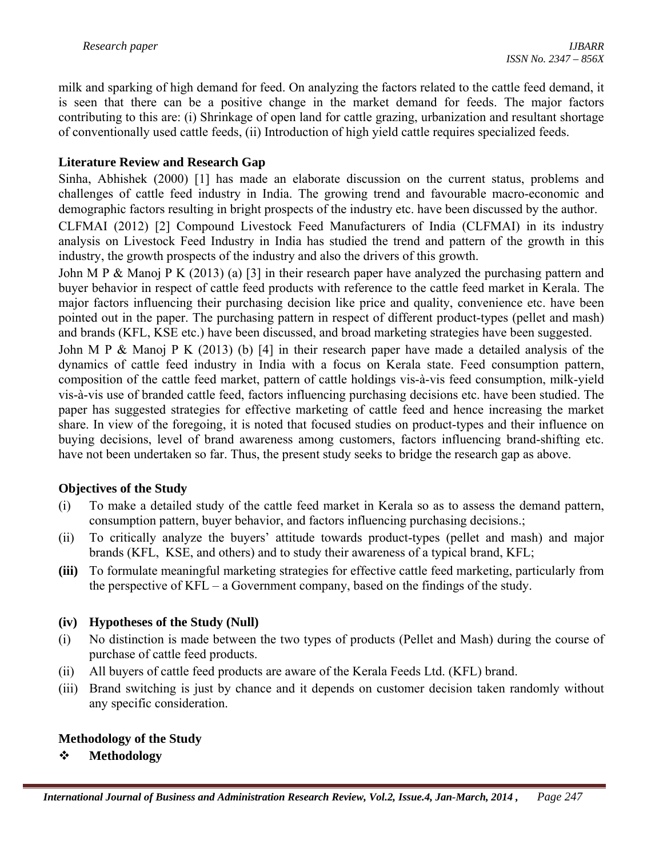milk and sparking of high demand for feed. On analyzing the factors related to the cattle feed demand, it is seen that there can be a positive change in the market demand for feeds. The major factors contributing to this are: (i) Shrinkage of open land for cattle grazing, urbanization and resultant shortage of conventionally used cattle feeds, (ii) Introduction of high yield cattle requires specialized feeds.

## **Literature Review and Research Gap**

Sinha, Abhishek (2000) [1] has made an elaborate discussion on the current status, problems and challenges of cattle feed industry in India. The growing trend and favourable macro-economic and demographic factors resulting in bright prospects of the industry etc. have been discussed by the author.

CLFMAI (2012) [2] Compound Livestock Feed Manufacturers of India (CLFMAI) in its industry analysis on Livestock Feed Industry in India has studied the trend and pattern of the growth in this industry, the growth prospects of the industry and also the drivers of this growth.

John M P & Manoj P K (2013) (a) [3] in their research paper have analyzed the purchasing pattern and buyer behavior in respect of cattle feed products with reference to the cattle feed market in Kerala. The major factors influencing their purchasing decision like price and quality, convenience etc. have been pointed out in the paper. The purchasing pattern in respect of different product-types (pellet and mash) and brands (KFL, KSE etc.) have been discussed, and broad marketing strategies have been suggested.

John M P & Manoj P K (2013) (b) [4] in their research paper have made a detailed analysis of the dynamics of cattle feed industry in India with a focus on Kerala state. Feed consumption pattern, composition of the cattle feed market, pattern of cattle holdings vis-à-vis feed consumption, milk-yield vis-à-vis use of branded cattle feed, factors influencing purchasing decisions etc. have been studied. The paper has suggested strategies for effective marketing of cattle feed and hence increasing the market share. In view of the foregoing, it is noted that focused studies on product-types and their influence on buying decisions, level of brand awareness among customers, factors influencing brand-shifting etc. have not been undertaken so far. Thus, the present study seeks to bridge the research gap as above.

# **Objectives of the Study**

- (i) To make a detailed study of the cattle feed market in Kerala so as to assess the demand pattern, consumption pattern, buyer behavior, and factors influencing purchasing decisions.;
- (ii) To critically analyze the buyers' attitude towards product-types (pellet and mash) and major brands (KFL, KSE, and others) and to study their awareness of a typical brand, KFL;
- **(iii)** To formulate meaningful marketing strategies for effective cattle feed marketing, particularly from the perspective of KFL – a Government company, based on the findings of the study.

### **(iv) Hypotheses of the Study (Null)**

- (i) No distinction is made between the two types of products (Pellet and Mash) during the course of purchase of cattle feed products.
- (ii) All buyers of cattle feed products are aware of the Kerala Feeds Ltd. (KFL) brand.
- (iii) Brand switching is just by chance and it depends on customer decision taken randomly without any specific consideration.

### **Methodology of the Study**

### **Methodology**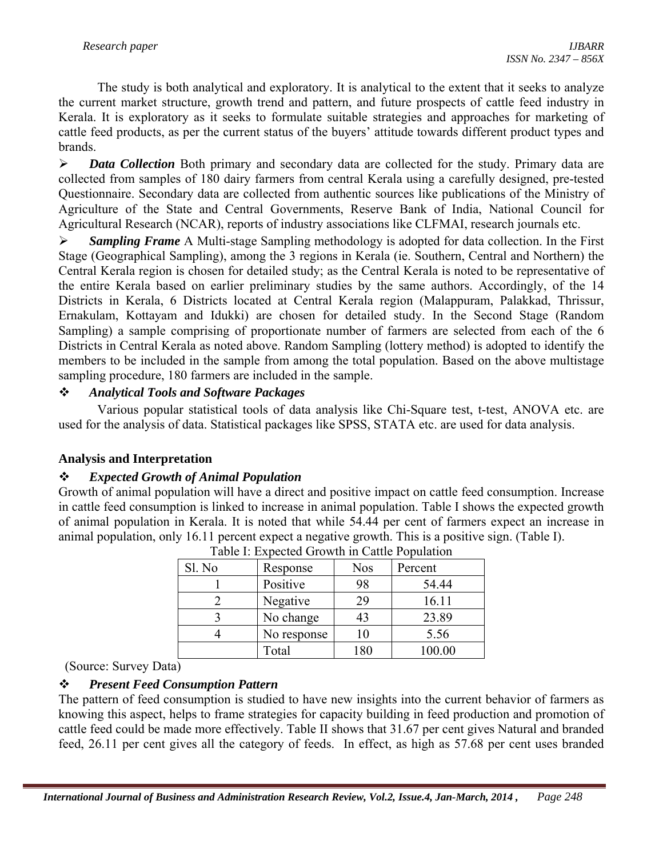The study is both analytical and exploratory. It is analytical to the extent that it seeks to analyze the current market structure, growth trend and pattern, and future prospects of cattle feed industry in Kerala. It is exploratory as it seeks to formulate suitable strategies and approaches for marketing of cattle feed products, as per the current status of the buyers' attitude towards different product types and brands.

¾ *Data Collection* Both primary and secondary data are collected for the study. Primary data are collected from samples of 180 dairy farmers from central Kerala using a carefully designed, pre-tested Questionnaire. Secondary data are collected from authentic sources like publications of the Ministry of Agriculture of the State and Central Governments, Reserve Bank of India, National Council for Agricultural Research (NCAR), reports of industry associations like CLFMAI, research journals etc.

¾ *Sampling Frame* A Multi-stage Sampling methodology is adopted for data collection. In the First Stage (Geographical Sampling), among the 3 regions in Kerala (ie. Southern, Central and Northern) the Central Kerala region is chosen for detailed study; as the Central Kerala is noted to be representative of the entire Kerala based on earlier preliminary studies by the same authors. Accordingly, of the 14 Districts in Kerala, 6 Districts located at Central Kerala region (Malappuram, Palakkad, Thrissur, Ernakulam, Kottayam and Idukki) are chosen for detailed study. In the Second Stage (Random Sampling) a sample comprising of proportionate number of farmers are selected from each of the 6 Districts in Central Kerala as noted above. Random Sampling (lottery method) is adopted to identify the members to be included in the sample from among the total population. Based on the above multistage sampling procedure, 180 farmers are included in the sample.

# *Analytical Tools and Software Packages*

Various popular statistical tools of data analysis like Chi-Square test, t-test, ANOVA etc. are used for the analysis of data. Statistical packages like SPSS, STATA etc. are used for data analysis.

### **Analysis and Interpretation**

### *Expected Growth of Animal Population*

Growth of animal population will have a direct and positive impact on cattle feed consumption. Increase in cattle feed consumption is linked to increase in animal population. Table I shows the expected growth of animal population in Kerala. It is noted that while 54.44 per cent of farmers expect an increase in animal population, only 16.11 percent expect a negative growth. This is a positive sign. (Table I).

| Table 1. Expected STOWIN IN Cattle I optimitell |             |              |         |  |
|-------------------------------------------------|-------------|--------------|---------|--|
| Sl. No                                          | Response    | <b>Nos</b>   | Percent |  |
|                                                 | Positive    | 98           | 54.44   |  |
|                                                 | Negative    | 29           | 16.11   |  |
|                                                 | No change   | 43           | 23.89   |  |
|                                                 | No response |              | 5.56    |  |
|                                                 | Total       | $^{\circ}80$ | 100.00  |  |

Table I: Expected Growth in Cattle Population

(Source: Survey Data)

# *Present Feed Consumption Pattern*

The pattern of feed consumption is studied to have new insights into the current behavior of farmers as knowing this aspect, helps to frame strategies for capacity building in feed production and promotion of cattle feed could be made more effectively. Table II shows that 31.67 per cent gives Natural and branded feed, 26.11 per cent gives all the category of feeds. In effect, as high as 57.68 per cent uses branded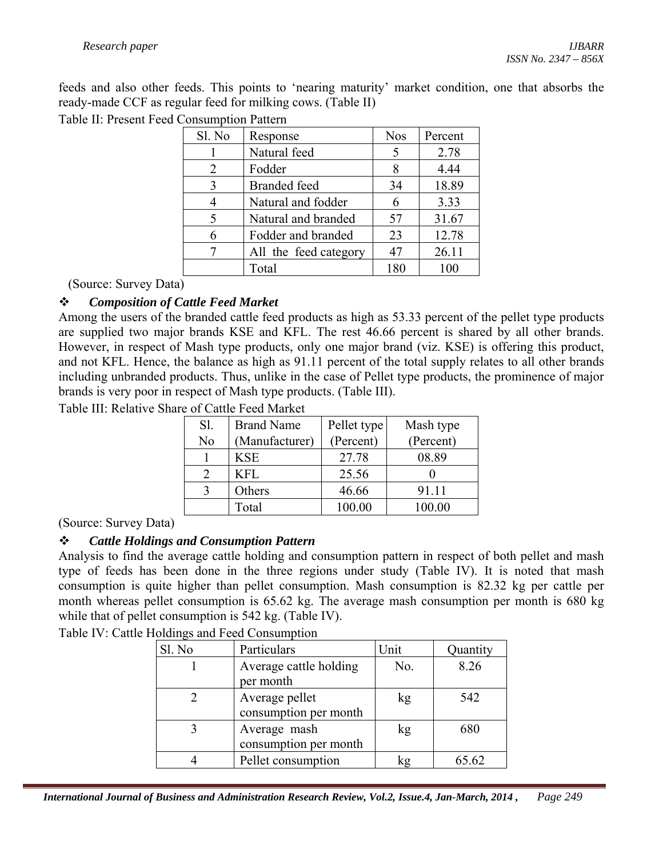feeds and also other feeds. This points to 'nearing maturity' market condition, one that absorbs the ready-made CCF as regular feed for milking cows. (Table II)

Table II: Present Feed Consumption Pattern

| Sl. No | Response              | <b>Nos</b> | Percent |
|--------|-----------------------|------------|---------|
|        | Natural feed          | 5          | 2.78    |
| 2      | Fodder                | 8          | 4.44    |
| 3      | <b>Branded</b> feed   | 34         | 18.89   |
| 4      | Natural and fodder    | 6          | 3.33    |
| 5      | Natural and branded   | 57         | 31.67   |
| 6      | Fodder and branded    | 23         | 12.78   |
|        | All the feed category | 47         | 26.11   |
|        | Total                 | 180        | 100     |

(Source: Survey Data)

## *Composition of Cattle Feed Market*

Among the users of the branded cattle feed products as high as 53.33 percent of the pellet type products are supplied two major brands KSE and KFL. The rest 46.66 percent is shared by all other brands. However, in respect of Mash type products, only one major brand (viz. KSE) is offering this product, and not KFL. Hence, the balance as high as 91.11 percent of the total supply relates to all other brands including unbranded products. Thus, unlike in the case of Pellet type products, the prominence of major brands is very poor in respect of Mash type products. (Table III).

Table III: Relative Share of Cattle Feed Market

| Sl. | <b>Brand Name</b> | Pellet type | Mash type |
|-----|-------------------|-------------|-----------|
| No  | (Manufacturer)    | (Percent)   | (Percent) |
|     | <b>KSE</b>        | 27.78       | 08.89     |
|     | KFL               | 25.56       |           |
|     | Others            | 46.66       | 91.11     |
|     | Total             | 100.00      | 100.00    |

(Source: Survey Data)

### *Cattle Holdings and Consumption Pattern*

Analysis to find the average cattle holding and consumption pattern in respect of both pellet and mash type of feeds has been done in the three regions under study (Table IV). It is noted that mash consumption is quite higher than pellet consumption. Mash consumption is 82.32 kg per cattle per month whereas pellet consumption is 65.62 kg. The average mash consumption per month is 680 kg while that of pellet consumption is 542 kg. (Table IV).

Table IV: Cattle Holdings and Feed Consumption

| Sl. No | Particulars                             | Unit | Quantity |
|--------|-----------------------------------------|------|----------|
|        | Average cattle holding<br>per month     | No.  | 8.26     |
|        | Average pellet<br>consumption per month | kg   | 542      |
|        | Average mash<br>consumption per month   | kg   | 680      |
|        | Pellet consumption                      |      | 65.62    |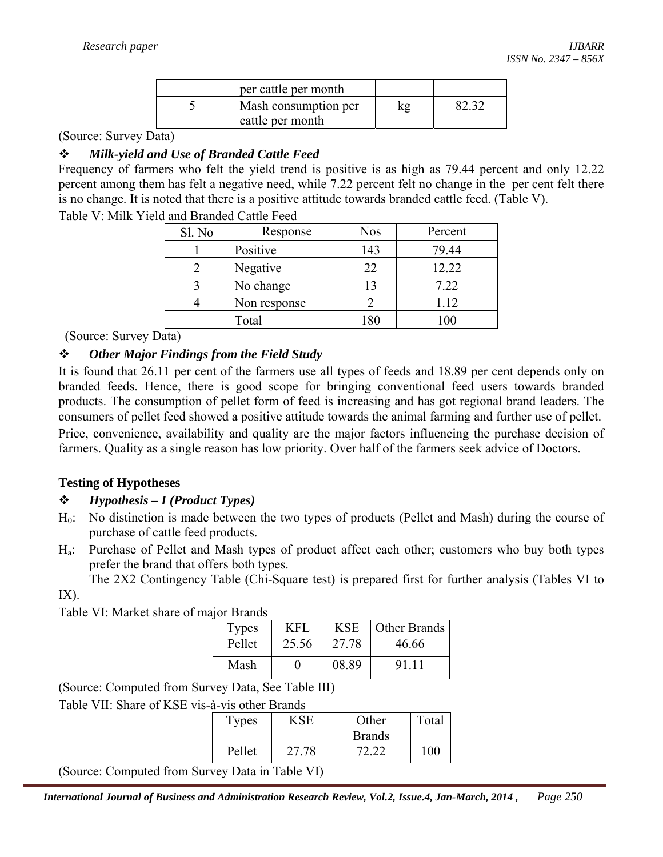| per cattle per month                     |  |
|------------------------------------------|--|
| Mash consumption per<br>cattle per month |  |

#### (Source: Survey Data)

### *Milk-yield and Use of Branded Cattle Feed*

Frequency of farmers who felt the yield trend is positive is as high as 79.44 percent and only 12.22 percent among them has felt a negative need, while 7.22 percent felt no change in the per cent felt there is no change. It is noted that there is a positive attitude towards branded cattle feed. (Table V).

| Table V: Milk Yield and Branded Cattle Feed |  |  |  |
|---------------------------------------------|--|--|--|
|                                             |  |  |  |

| Sl. No | Response     | <b>Nos</b> | Percent  |
|--------|--------------|------------|----------|
|        | Positive     | 143        | 79.44    |
|        | Negative     | 22         | 12.22    |
|        | No change    | 13         | 7.22     |
|        | Non response |            | 1.12     |
|        | Total        | 180        | $\Omega$ |

(Source: Survey Data)

### *Other Major Findings from the Field Study*

It is found that 26.11 per cent of the farmers use all types of feeds and 18.89 per cent depends only on branded feeds. Hence, there is good scope for bringing conventional feed users towards branded products. The consumption of pellet form of feed is increasing and has got regional brand leaders. The consumers of pellet feed showed a positive attitude towards the animal farming and further use of pellet. Price, convenience, availability and quality are the major factors influencing the purchase decision of farmers. Quality as a single reason has low priority. Over half of the farmers seek advice of Doctors.

### **Testing of Hypotheses**

### *Hypothesis – I (Product Types)*

- H0: No distinction is made between the two types of products (Pellet and Mash) during the course of purchase of cattle feed products.
- Ha: Purchase of Pellet and Mash types of product affect each other; customers who buy both types prefer the brand that offers both types.

 The 2X2 Contingency Table (Chi-Square test) is prepared first for further analysis (Tables VI to IX).

Table VI: Market share of major Brands

| <b>Types</b> | KFL   | <b>KSE</b> | Other Brands |
|--------------|-------|------------|--------------|
| Pellet       | 25.56 | 27.78      | 46.66        |
| Mash         |       | 08.89      | 91 11        |

(Source: Computed from Survey Data, See Table III)

Table VII: Share of KSE vis-à-vis other Brands

| <b>Types</b> | $\overline{S}$ SF | Other         | Total   |
|--------------|-------------------|---------------|---------|
|              |                   | <b>Brands</b> |         |
| Pellet       | 27.78             | 72.22         | $100 -$ |

(Source: Computed from Survey Data in Table VI)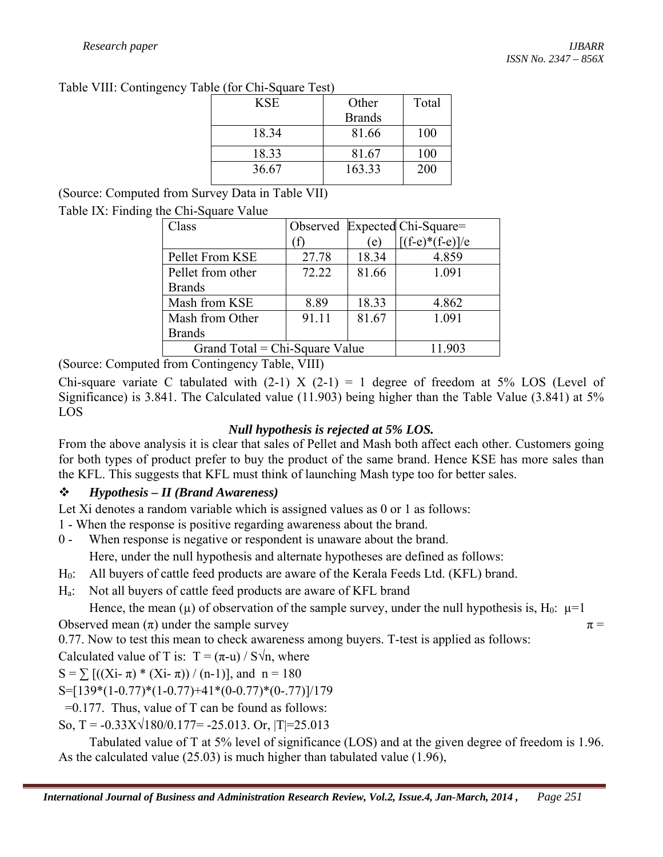Table VIII: Contingency Table (for Chi-Square Test)

| <b>KSE</b> | Other         | Total |
|------------|---------------|-------|
|            | <b>Brands</b> |       |
| 18.34      | 81.66         | 100   |
| 18.33      | 81.67         | 100   |
| 36.67      | 163.33        | 200   |
|            |               |       |

(Source: Computed from Survey Data in Table VII)

# Table IX: Finding the Chi-Square Value

| Class                                      |       |       | Observed Expected Chi-Square= |  |
|--------------------------------------------|-------|-------|-------------------------------|--|
|                                            |       | (e)   | $[(f-e)*(f-e)]/e$             |  |
| Pellet From KSE                            | 27.78 | 18.34 | 4.859                         |  |
| Pellet from other                          | 72.22 | 81.66 | 1.091                         |  |
| <b>Brands</b>                              |       |       |                               |  |
| Mash from KSE                              | 8.89  | 18.33 | 4.862                         |  |
| Mash from Other                            | 91.11 | 81.67 | 1.091                         |  |
| <b>Brands</b>                              |       |       |                               |  |
| Grand Total = $Chi-Square$ Value<br>11.903 |       |       |                               |  |

(Source: Computed from Contingency Table, VIII)

Chi-square variate C tabulated with  $(2-1)$  X  $(2-1)$  = 1 degree of freedom at 5% LOS (Level of Significance) is 3.841. The Calculated value (11.903) being higher than the Table Value (3.841) at 5% LOS

# *Null hypothesis is rejected at 5% LOS.*

From the above analysis it is clear that sales of Pellet and Mash both affect each other. Customers going for both types of product prefer to buy the product of the same brand. Hence KSE has more sales than the KFL. This suggests that KFL must think of launching Mash type too for better sales.

# *Hypothesis – II (Brand Awareness)*

Let Xi denotes a random variable which is assigned values as 0 or 1 as follows:

- 1 When the response is positive regarding awareness about the brand.
- 0 When response is negative or respondent is unaware about the brand.

Here, under the null hypothesis and alternate hypotheses are defined as follows:

- H0: All buyers of cattle feed products are aware of the Kerala Feeds Ltd. (KFL) brand.
- Ha: Not all buyers of cattle feed products are aware of KFL brand

Hence, the mean ( $\mu$ ) of observation of the sample survey, under the null hypothesis is, H<sub>0</sub>:  $\mu$ =1

Observed mean  $(\pi)$  under the sample survey  $\pi$  =

0.77. Now to test this mean to check awareness among buyers. T-test is applied as follows:

Calculated value of T is:  $T = (\pi - u) / S\sqrt{n}$ , where

S =  $\sum$  [((Xi-  $\pi$ ) \* (Xi-  $\pi$ )) / (n-1)], and n = 180

 $S=[139*(1-0.77)*(1-0.77)+41*(0-0.77)*(0-.77)]/179$ 

 $=0.177$ . Thus, value of T can be found as follows:

So, T =  $-0.33X\sqrt{180/0.177}$  =  $-25.013$ . Or, |T|=25.013

 Tabulated value of T at 5% level of significance (LOS) and at the given degree of freedom is 1.96. As the calculated value (25.03) is much higher than tabulated value (1.96),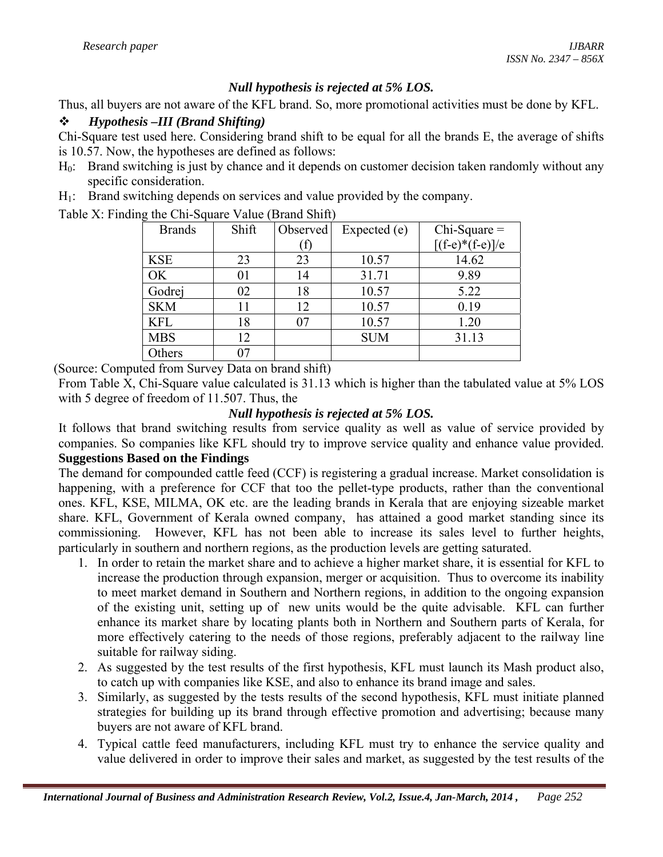## *Null hypothesis is rejected at 5% LOS.*

Thus, all buyers are not aware of the KFL brand. So, more promotional activities must be done by KFL.

### *Hypothesis –III (Brand Shifting)*

Chi-Square test used here. Considering brand shift to be equal for all the brands E, the average of shifts is 10.57. Now, the hypotheses are defined as follows:

- H0: Brand switching is just by chance and it depends on customer decision taken randomly without any specific consideration.
- H<sub>1</sub>: Brand switching depends on services and value provided by the company.

Table X: Finding the Chi-Square Value (Brand Shift)

| <b>Brands</b> | Shift | Observed | Expected (e) | $Chi-Square =$    |
|---------------|-------|----------|--------------|-------------------|
|               |       |          |              | $[(f-e)*(f-e)]/e$ |
| <b>KSE</b>    | 23    | 23       | 10.57        | 14.62             |
| OK            | 01    | 14       | 31.71        | 9.89              |
| Godrej        | 02    | 18       | 10.57        | 5.22              |
| <b>SKM</b>    | 11    | 12       | 10.57        | 0.19              |
| <b>KFL</b>    | 18    | 07       | 10.57        | 1.20              |
| <b>MBS</b>    | 12    |          | <b>SUM</b>   | 31.13             |
| Others        | 07    |          |              |                   |

(Source: Computed from Survey Data on brand shift)

From Table X, Chi-Square value calculated is 31.13 which is higher than the tabulated value at 5% LOS with 5 degree of freedom of 11.507. Thus, the

## *Null hypothesis is rejected at 5% LOS.*

It follows that brand switching results from service quality as well as value of service provided by companies. So companies like KFL should try to improve service quality and enhance value provided. **Suggestions Based on the Findings** 

The demand for compounded cattle feed (CCF) is registering a gradual increase. Market consolidation is happening, with a preference for CCF that too the pellet-type products, rather than the conventional ones. KFL, KSE, MILMA, OK etc. are the leading brands in Kerala that are enjoying sizeable market share. KFL, Government of Kerala owned company, has attained a good market standing since its commissioning. However, KFL has not been able to increase its sales level to further heights, particularly in southern and northern regions, as the production levels are getting saturated.

- 1. In order to retain the market share and to achieve a higher market share, it is essential for KFL to increase the production through expansion, merger or acquisition. Thus to overcome its inability to meet market demand in Southern and Northern regions, in addition to the ongoing expansion of the existing unit, setting up of new units would be the quite advisable. KFL can further enhance its market share by locating plants both in Northern and Southern parts of Kerala, for more effectively catering to the needs of those regions, preferably adjacent to the railway line suitable for railway siding.
- 2. As suggested by the test results of the first hypothesis, KFL must launch its Mash product also, to catch up with companies like KSE, and also to enhance its brand image and sales.
- 3. Similarly, as suggested by the tests results of the second hypothesis, KFL must initiate planned strategies for building up its brand through effective promotion and advertising; because many buyers are not aware of KFL brand.
- 4. Typical cattle feed manufacturers, including KFL must try to enhance the service quality and value delivered in order to improve their sales and market, as suggested by the test results of the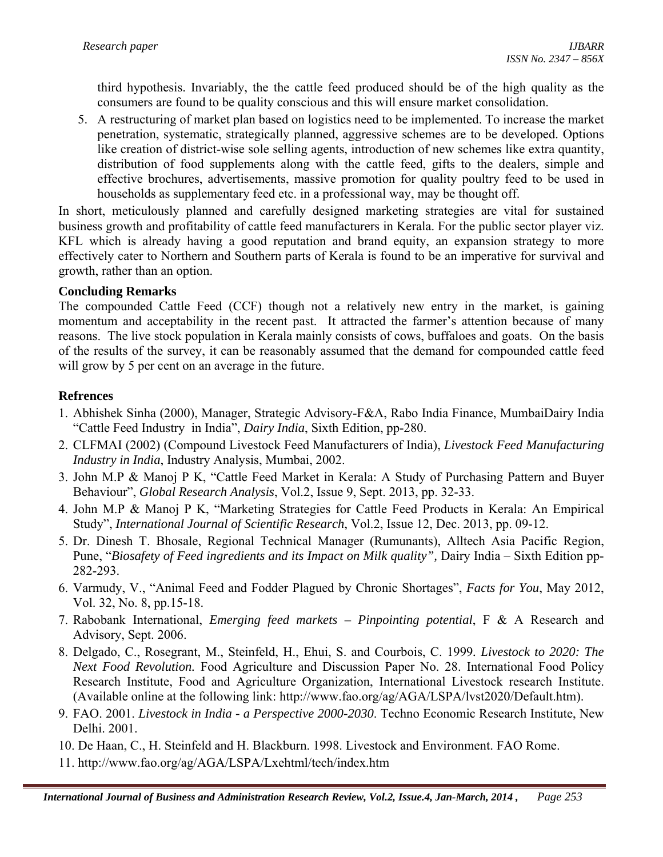third hypothesis. Invariably, the the cattle feed produced should be of the high quality as the consumers are found to be quality conscious and this will ensure market consolidation.

5. A restructuring of market plan based on logistics need to be implemented. To increase the market penetration, systematic, strategically planned, aggressive schemes are to be developed. Options like creation of district-wise sole selling agents, introduction of new schemes like extra quantity, distribution of food supplements along with the cattle feed, gifts to the dealers, simple and effective brochures, advertisements, massive promotion for quality poultry feed to be used in households as supplementary feed etc. in a professional way, may be thought off.

In short, meticulously planned and carefully designed marketing strategies are vital for sustained business growth and profitability of cattle feed manufacturers in Kerala. For the public sector player viz. KFL which is already having a good reputation and brand equity, an expansion strategy to more effectively cater to Northern and Southern parts of Kerala is found to be an imperative for survival and growth, rather than an option.

## **Concluding Remarks**

The compounded Cattle Feed (CCF) though not a relatively new entry in the market, is gaining momentum and acceptability in the recent past. It attracted the farmer's attention because of many reasons. The live stock population in Kerala mainly consists of cows, buffaloes and goats. On the basis of the results of the survey, it can be reasonably assumed that the demand for compounded cattle feed will grow by 5 per cent on an average in the future.

## **Refrences**

- 1. Abhishek Sinha (2000), Manager, Strategic Advisory-F&A, Rabo India Finance, MumbaiDairy India "Cattle Feed Industry in India", *Dairy India*, Sixth Edition, pp-280.
- 2. CLFMAI (2002) (Compound Livestock Feed Manufacturers of India), *Livestock Feed Manufacturing Industry in India*, Industry Analysis, Mumbai, 2002.
- 3. John M.P & Manoj P K, "Cattle Feed Market in Kerala: A Study of Purchasing Pattern and Buyer Behaviour", *Global Research Analysis*, Vol.2, Issue 9, Sept. 2013, pp. 32-33.
- 4. John M.P & Manoj P K, "Marketing Strategies for Cattle Feed Products in Kerala: An Empirical Study", *International Journal of Scientific Research*, Vol.2, Issue 12, Dec. 2013, pp. 09-12.
- 5. Dr. Dinesh T. Bhosale, Regional Technical Manager (Rumunants), Alltech Asia Pacific Region, Pune, "Biosafety of Feed ingredients and its Impact on Milk quality", Dairy India – Sixth Edition pp-282-293.
- 6. Varmudy, V., "Animal Feed and Fodder Plagued by Chronic Shortages", *Facts for You*, May 2012, Vol. 32, No. 8, pp.15-18.
- 7. Rabobank International, *Emerging feed markets Pinpointing potential*, F & A Research and Advisory, Sept. 2006.
- 8. Delgado, C., Rosegrant, M., Steinfeld, H., Ehui, S. and Courbois, C. 1999*. Livestock to 2020: The Next Food Revolution.* Food Agriculture and Discussion Paper No. 28. International Food Policy Research Institute, Food and Agriculture Organization, International Livestock research Institute. (Available online at the following link: http://www.fao.org/ag/AGA/LSPA/lvst2020/Default.htm).
- 9. FAO. 2001. *Livestock in India a Perspective 2000-2030*. Techno Economic Research Institute, New Delhi. 2001.
- 10. De Haan, C., H. Steinfeld and H. Blackburn. 1998. Livestock and Environment. FAO Rome.
- 11. http://www.fao.org/ag/AGA/LSPA/Lxehtml/tech/index.htm